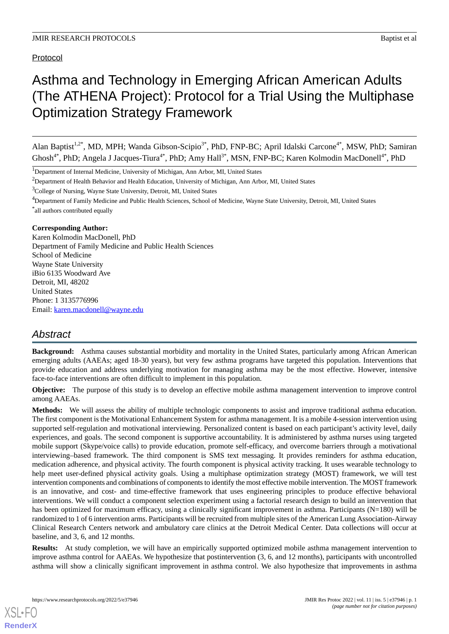Protocol

# Asthma and Technology in Emerging African American Adults (The ATHENA Project): Protocol for a Trial Using the Multiphase Optimization Strategy Framework

Alan Baptist<sup>1,2\*</sup>, MD, MPH; Wanda Gibson-Scipio<sup>3\*</sup>, PhD, FNP-BC; April Idalski Carcone<sup>4\*</sup>, MSW, PhD; Samiran Ghosh<sup>4\*</sup>, PhD; Angela J Jacques-Tiura<sup>4\*</sup>, PhD; Amy Hall<sup>3\*</sup>, MSN, FNP-BC; Karen Kolmodin MacDonell<sup>4\*</sup>, PhD

<sup>1</sup>Department of Internal Medicine, University of Michigan, Ann Arbor, MI, United States

<sup>2</sup>Department of Health Behavior and Health Education, University of Michigan, Ann Arbor, MI, United States

<sup>3</sup>College of Nursing, Wayne State University, Detroit, MI, United States

<sup>4</sup>Department of Family Medicine and Public Health Sciences, School of Medicine, Wayne State University, Detroit, MI, United States \* all authors contributed equally

#### **Corresponding Author:**

Karen Kolmodin MacDonell, PhD Department of Family Medicine and Public Health Sciences School of Medicine Wayne State University iBio 6135 Woodward Ave Detroit, MI, 48202 United States Phone: 1 3135776996 Email: [karen.macdonell@wayne.edu](mailto:karen.macdonell@wayne.edu)

# *Abstract*

**Background:** Asthma causes substantial morbidity and mortality in the United States, particularly among African American emerging adults (AAEAs; aged 18-30 years), but very few asthma programs have targeted this population. Interventions that provide education and address underlying motivation for managing asthma may be the most effective. However, intensive face-to-face interventions are often difficult to implement in this population.

**Objective:** The purpose of this study is to develop an effective mobile asthma management intervention to improve control among AAEAs.

**Methods:** We will assess the ability of multiple technologic components to assist and improve traditional asthma education. The first component is the Motivational Enhancement System for asthma management. It is a mobile 4-session intervention using supported self-regulation and motivational interviewing. Personalized content is based on each participant's activity level, daily experiences, and goals. The second component is supportive accountability. It is administered by asthma nurses using targeted mobile support (Skype/voice calls) to provide education, promote self-efficacy, and overcome barriers through a motivational interviewing–based framework. The third component is SMS text messaging. It provides reminders for asthma education, medication adherence, and physical activity. The fourth component is physical activity tracking. It uses wearable technology to help meet user-defined physical activity goals. Using a multiphase optimization strategy (MOST) framework, we will test intervention components and combinations of components to identify the most effective mobile intervention. The MOST framework is an innovative, and cost- and time-effective framework that uses engineering principles to produce effective behavioral interventions. We will conduct a component selection experiment using a factorial research design to build an intervention that has been optimized for maximum efficacy, using a clinically significant improvement in asthma. Participants (N=180) will be randomized to 1 of 6 intervention arms. Participants will be recruited from multiple sites of the American Lung Association-Airway Clinical Research Centers network and ambulatory care clinics at the Detroit Medical Center. Data collections will occur at baseline, and 3, 6, and 12 months.

**Results:** At study completion, we will have an empirically supported optimized mobile asthma management intervention to improve asthma control for AAEAs. We hypothesize that postintervention (3, 6, and 12 months), participants with uncontrolled asthma will show a clinically significant improvement in asthma control. We also hypothesize that improvements in asthma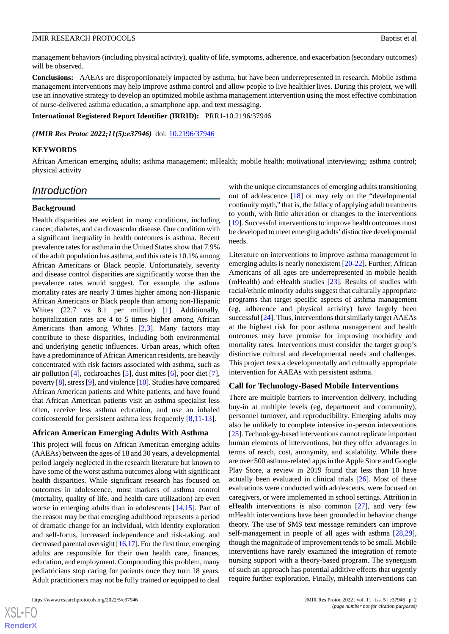management behaviors (including physical activity), quality of life, symptoms, adherence, and exacerbation (secondary outcomes) will be observed.

**Conclusions:** AAEAs are disproportionately impacted by asthma, but have been underrepresented in research. Mobile asthma management interventions may help improve asthma control and allow people to live healthier lives. During this project, we will use an innovative strategy to develop an optimized mobile asthma management intervention using the most effective combination of nurse-delivered asthma education, a smartphone app, and text messaging.

**International Registered Report Identifier (IRRID):** PRR1-10.2196/37946

(JMIR Res Protoc 2022;11(5):e37946) doi: [10.2196/37946](http://dx.doi.org/10.2196/37946)

#### **KEYWORDS**

African American emerging adults; asthma management; mHealth; mobile health; motivational interviewing; asthma control; physical activity

# *Introduction*

#### **Background**

Health disparities are evident in many conditions, including cancer, diabetes, and cardiovascular disease. One condition with a significant inequality in health outcomes is asthma. Recent prevalence rates for asthma in the United States show that 7.9% of the adult population has asthma, and this rate is 10.1% among African Americans or Black people. Unfortunately, severity and disease control disparities are significantly worse than the prevalence rates would suggest. For example, the asthma mortality rates are nearly 3 times higher among non-Hispanic African Americans or Black people than among non-Hispanic Whites (22.7 vs 8.1 per million) [[1\]](#page-8-0). Additionally, hospitalization rates are 4 to 5 times higher among African Americans than among Whites [\[2](#page-8-1)[,3\]](#page-8-2). Many factors may contribute to these disparities, including both environmental and underlying genetic influences. Urban areas, which often have a predominance of African American residents, are heavily concentrated with risk factors associated with asthma, such as air pollution [[4](#page-8-3)], cockroaches [[5\]](#page-8-4), dust mites [[6\]](#page-8-5), poor diet [[7\]](#page-8-6), poverty [[8](#page-8-7)], stress [\[9\]](#page-8-8), and violence [\[10](#page-8-9)]. Studies have compared African American patients and White patients, and have found that African American patients visit an asthma specialist less often, receive less asthma education, and use an inhaled corticosteroid for persistent asthma less frequently [\[8](#page-8-7),[11-](#page-8-10)[13](#page-8-11)].

#### **African American Emerging Adults With Asthma**

This project will focus on African American emerging adults (AAEAs) between the ages of 18 and 30 years, a developmental period largely neglected in the research literature but known to have some of the worst asthma outcomes along with significant health disparities. While significant research has focused on outcomes in adolescence, most markers of asthma control (mortality, quality of life, and health care utilization) are even worse in emerging adults than in adolescents [[14,](#page-8-12)[15](#page-8-13)]. Part of the reason may be that emerging adulthood represents a period of dramatic change for an individual, with identity exploration and self-focus, increased independence and risk-taking, and decreased parental oversight [\[16](#page-8-14)[,17](#page-8-15)]. For the first time, emerging adults are responsible for their own health care, finances, education, and employment. Compounding this problem, many pediatricians stop caring for patients once they turn 18 years. Adult practitioners may not be fully trained or equipped to deal

with the unique circumstances of emerging adults transitioning out of adolescence [[18\]](#page-8-16) or may rely on the "developmental continuity myth," that is, the fallacy of applying adult treatments to youth, with little alteration or changes to the interventions [[19\]](#page-8-17). Successful interventions to improve health outcomes must be developed to meet emerging adults'distinctive developmental needs.

Literature on interventions to improve asthma management in emerging adults is nearly nonexistent [\[20](#page-8-18)[-22](#page-9-0)]. Further, African Americans of all ages are underrepresented in mobile health (mHealth) and eHealth studies [[23\]](#page-9-1). Results of studies with racial/ethnic minority adults suggest that culturally appropriate programs that target specific aspects of asthma management (eg, adherence and physical activity) have largely been successful [\[24](#page-9-2)]. Thus, interventions that similarly target AAEAs at the highest risk for poor asthma management and health outcomes may have promise for improving morbidity and mortality rates. Interventions must consider the target group's distinctive cultural and developmental needs and challenges. This project tests a developmentally and culturally appropriate intervention for AAEAs with persistent asthma.

#### **Call for Technology-Based Mobile Interventions**

There are multiple barriers to intervention delivery, including buy-in at multiple levels (eg, department and community), personnel turnover, and reproducibility. Emerging adults may also be unlikely to complete intensive in-person interventions [[25\]](#page-9-3). Technology-based interventions cannot replicate important human elements of interventions, but they offer advantages in terms of reach, cost, anonymity, and scalability. While there are over 500 asthma-related apps in the Apple Store and Google Play Store, a review in 2019 found that less than 10 have actually been evaluated in clinical trials [[26\]](#page-9-4). Most of these evaluations were conducted with adolescents, were focused on caregivers, or were implemented in school settings. Attrition in eHealth interventions is also common [\[27](#page-9-5)], and very few mHealth interventions have been grounded in behavior change theory. The use of SMS text message reminders can improve self-management in people of all ages with asthma [\[28](#page-9-6),[29\]](#page-9-7), though the magnitude of improvement tends to be small. Mobile interventions have rarely examined the integration of remote nursing support with a theory-based program. The synergism of such an approach has potential additive effects that urgently require further exploration. Finally, mHealth interventions can

 $XS$  $\cdot$ FC **[RenderX](http://www.renderx.com/)**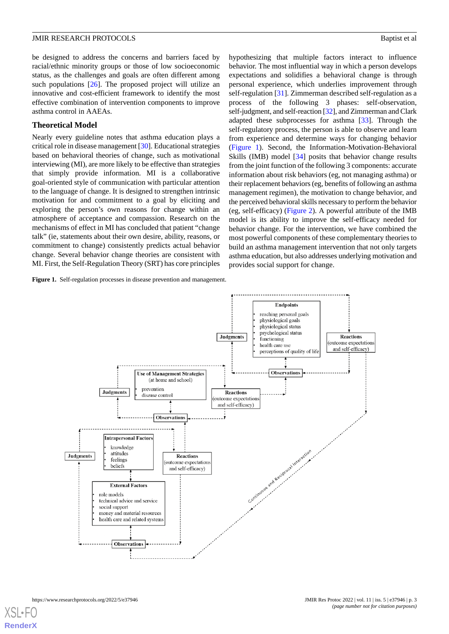be designed to address the concerns and barriers faced by racial/ethnic minority groups or those of low socioeconomic status, as the challenges and goals are often different among such populations [[26\]](#page-9-4). The proposed project will utilize an innovative and cost-efficient framework to identify the most effective combination of intervention components to improve asthma control in AAEAs.

#### **Theoretical Model**

Nearly every guideline notes that asthma education plays a critical role in disease management [[30\]](#page-9-8). Educational strategies based on behavioral theories of change, such as motivational interviewing (MI), are more likely to be effective than strategies that simply provide information. MI is a collaborative goal-oriented style of communication with particular attention to the language of change. It is designed to strengthen intrinsic motivation for and commitment to a goal by eliciting and exploring the person's own reasons for change within an atmosphere of acceptance and compassion. Research on the mechanisms of effect in MI has concluded that patient "change talk" (ie, statements about their own desire, ability, reasons, or commitment to change) consistently predicts actual behavior change. Several behavior change theories are consistent with MI. First, the Self-Regulation Theory (SRT) has core principles

<span id="page-2-0"></span>**Figure 1.** Self-regulation processes in disease prevention and management.

hypothesizing that multiple factors interact to influence behavior. The most influential way in which a person develops expectations and solidifies a behavioral change is through personal experience, which underlies improvement through self-regulation [\[31](#page-9-9)]. Zimmerman described self-regulation as a process of the following 3 phases: self-observation, self-judgment, and self-reaction [[32](#page-9-10)], and Zimmerman and Clark adapted these subprocesses for asthma [[33\]](#page-9-11). Through the self-regulatory process, the person is able to observe and learn from experience and determine ways for changing behavior ([Figure 1\)](#page-2-0). Second, the Information-Motivation-Behavioral Skills (IMB) model [\[34](#page-9-12)] posits that behavior change results from the joint function of the following 3 components: accurate information about risk behaviors (eg, not managing asthma) or their replacement behaviors (eg, benefits of following an asthma management regimen), the motivation to change behavior, and the perceived behavioral skills necessary to perform the behavior (eg, self-efficacy) [\(Figure 2](#page-3-0)). A powerful attribute of the IMB model is its ability to improve the self-efficacy needed for behavior change. For the intervention, we have combined the most powerful components of these complementary theories to build an asthma management intervention that not only targets asthma education, but also addresses underlying motivation and provides social support for change.

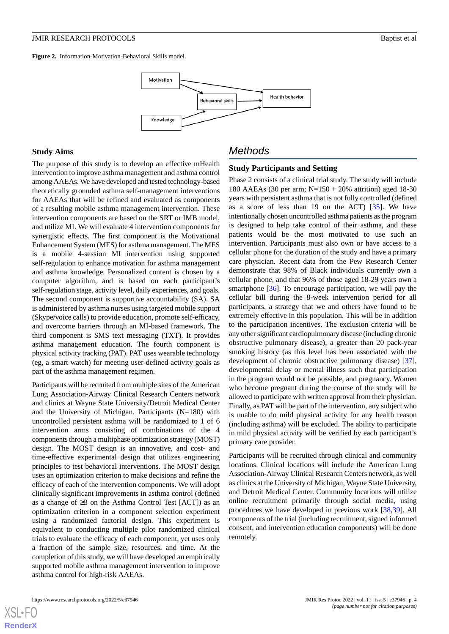<span id="page-3-0"></span>**Figure 2.** Information-Motivation-Behavioral Skills model.



## **Study Aims**

The purpose of this study is to develop an effective mHealth intervention to improve asthma management and asthma control among AAEAs. We have developed and tested technology-based theoretically grounded asthma self-management interventions for AAEAs that will be refined and evaluated as components of a resulting mobile asthma management intervention. These intervention components are based on the SRT or IMB model, and utilize MI. We will evaluate 4 intervention components for synergistic effects. The first component is the Motivational Enhancement System (MES) for asthma management. The MES is a mobile 4-session MI intervention using supported self-regulation to enhance motivation for asthma management and asthma knowledge. Personalized content is chosen by a computer algorithm, and is based on each participant's self-regulation stage, activity level, daily experiences, and goals. The second component is supportive accountability (SA). SA is administered by asthma nurses using targeted mobile support (Skype/voice calls) to provide education, promote self-efficacy, and overcome barriers through an MI-based framework. The third component is SMS text messaging (TXT). It provides asthma management education. The fourth component is physical activity tracking (PAT). PAT uses wearable technology (eg, a smart watch) for meeting user-defined activity goals as part of the asthma management regimen.

Participants will be recruited from multiple sites of the American Lung Association-Airway Clinical Research Centers network and clinics at Wayne State University/Detroit Medical Center and the University of Michigan. Participants (N=180) with uncontrolled persistent asthma will be randomized to 1 of 6 intervention arms consisting of combinations of the 4 components through a multiphase optimization strategy (MOST) design. The MOST design is an innovative, and cost- and time-effective experimental design that utilizes engineering principles to test behavioral interventions. The MOST design uses an optimization criterion to make decisions and refine the efficacy of each of the intervention components. We will adopt clinically significant improvements in asthma control (defined as a change of  $\geq$ 3 on the Asthma Control Test [ACT]) as an optimization criterion in a component selection experiment using a randomized factorial design. This experiment is equivalent to conducting multiple pilot randomized clinical trials to evaluate the efficacy of each component, yet uses only a fraction of the sample size, resources, and time. At the completion of this study, we will have developed an empirically supported mobile asthma management intervention to improve asthma control for high-risk AAEAs.

# *Methods*

## **Study Participants and Setting**

Phase 2 consists of a clinical trial study. The study will include 180 AAEAs (30 per arm; N=150 + 20% attrition) aged 18-30 years with persistent asthma that is not fully controlled (defined as a score of less than 19 on the ACT) [[35\]](#page-9-13). We have intentionally chosen uncontrolled asthma patients as the program is designed to help take control of their asthma, and these patients would be the most motivated to use such an intervention. Participants must also own or have access to a cellular phone for the duration of the study and have a primary care physician. Recent data from the Pew Research Center demonstrate that 98% of Black individuals currently own a cellular phone, and that 96% of those aged 18-29 years own a smartphone [[36\]](#page-9-14). To encourage participation, we will pay the cellular bill during the 8-week intervention period for all participants, a strategy that we and others have found to be extremely effective in this population. This will be in addition to the participation incentives. The exclusion criteria will be any other significant cardiopulmonary disease (including chronic obstructive pulmonary disease), a greater than 20 pack-year smoking history (as this level has been associated with the development of chronic obstructive pulmonary disease) [[37\]](#page-9-15), developmental delay or mental illness such that participation in the program would not be possible, and pregnancy. Women who become pregnant during the course of the study will be allowed to participate with written approval from their physician. Finally, as PAT will be part of the intervention, any subject who is unable to do mild physical activity for any health reason (including asthma) will be excluded. The ability to participate in mild physical activity will be verified by each participant's primary care provider.

Participants will be recruited through clinical and community locations. Clinical locations will include the American Lung Association-Airway Clinical Research Centers network, as well as clinics at the University of Michigan, Wayne State University, and Detroit Medical Center. Community locations will utilize online recruitment primarily through social media, using procedures we have developed in previous work [\[38](#page-9-16),[39\]](#page-9-17). All components of the trial (including recruitment, signed informed consent, and intervention education components) will be done remotely.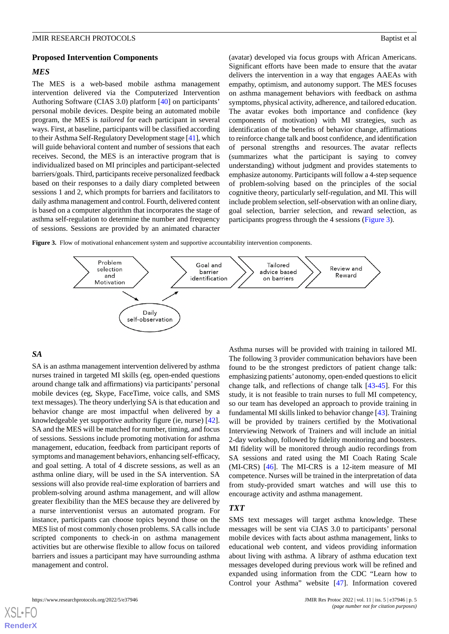#### **Proposed Intervention Components**

#### *MES*

The MES is a web-based mobile asthma management intervention delivered via the Computerized Intervention Authoring Software (CIAS 3.0) platform [[40\]](#page-9-18) on participants' personal mobile devices. Despite being an automated mobile program, the MES is *tailored* for each participant in several ways. First, at baseline, participants will be classified according to their Asthma Self-Regulatory Development stage [[41\]](#page-9-19), which will guide behavioral content and number of sessions that each receives. Second, the MES is an interactive program that is individualized based on MI principles and participant-selected barriers/goals. Third, participants receive personalized feedback based on their responses to a daily diary completed between sessions 1 and 2, which prompts for barriers and facilitators to daily asthma management and control. Fourth, delivered content is based on a computer algorithm that incorporates the stage of asthma self-regulation to determine the number and frequency of sessions. Sessions are provided by an animated character

(avatar) developed via focus groups with African Americans. Significant efforts have been made to ensure that the avatar delivers the intervention in a way that engages AAEAs with empathy, optimism, and autonomy support. The MES focuses on asthma management behaviors with feedback on asthma symptoms, physical activity, adherence, and tailored education. The avatar evokes both importance and confidence (key components of motivation) with MI strategies, such as identification of the benefits of behavior change, affirmations to reinforce change talk and boost confidence, and identification of personal strengths and resources. The avatar reflects (summarizes what the participant is saying to convey understanding) without judgment and provides statements to emphasize autonomy. Participants will follow a 4-step sequence of problem-solving based on the principles of the social cognitive theory, particularly self-regulation, and MI. This will include problem selection, self-observation with an online diary, goal selection, barrier selection, and reward selection, as participants progress through the 4 sessions ([Figure 3](#page-4-0)).

<span id="page-4-0"></span>Figure 3. Flow of motivational enhancement system and supportive accountability intervention components.



## *SA*

SA is an asthma management intervention delivered by asthma nurses trained in targeted MI skills (eg, open-ended questions around change talk and affirmations) via participants' personal mobile devices (eg, Skype, FaceTime, voice calls, and SMS text messages). The theory underlying SA is that education and behavior change are most impactful when delivered by a knowledgeable yet supportive authority figure (ie, nurse) [[42\]](#page-9-20). SA and the MES will be matched for number, timing, and focus of sessions. Sessions include promoting motivation for asthma management, education, feedback from participant reports of symptoms and management behaviors, enhancing self-efficacy, and goal setting. A total of 4 discrete sessions, as well as an asthma online diary, will be used in the SA intervention. SA sessions will also provide real-time exploration of barriers and problem-solving around asthma management, and will allow greater flexibility than the MES because they are delivered by a nurse interventionist versus an automated program. For instance, participants can choose topics beyond those on the MES list of most commonly chosen problems. SA calls include scripted components to check-in on asthma management activities but are otherwise flexible to allow focus on tailored barriers and issues a participant may have surrounding asthma management and control.

Asthma nurses will be provided with training in tailored MI. The following 3 provider communication behaviors have been found to be the strongest predictors of patient change talk: emphasizing patients' autonomy, open-ended questions to elicit change talk, and reflections of change talk [[43-](#page-10-0)[45](#page-10-1)]. For this study, it is not feasible to train nurses to full MI competency, so our team has developed an approach to provide training in fundamental MI skills linked to behavior change [[43\]](#page-10-0). Training will be provided by trainers certified by the Motivational Interviewing Network of Trainers and will include an initial 2-day workshop, followed by fidelity monitoring and boosters. MI fidelity will be monitored through audio recordings from SA sessions and rated using the MI Coach Rating Scale (MI-CRS) [[46\]](#page-10-2). The MI-CRS is a 12-item measure of MI competence. Nurses will be trained in the interpretation of data from study-provided smart watches and will use this to encourage activity and asthma management.

#### *TXT*

SMS text messages will target asthma knowledge. These messages will be sent via CIAS 3.0 to participants' personal mobile devices with facts about asthma management, links to educational web content, and videos providing information about living with asthma. A library of asthma education text messages developed during previous work will be refined and expanded using information from the CDC "Learn how to Control your Asthma" website [[47\]](#page-10-3). Information covered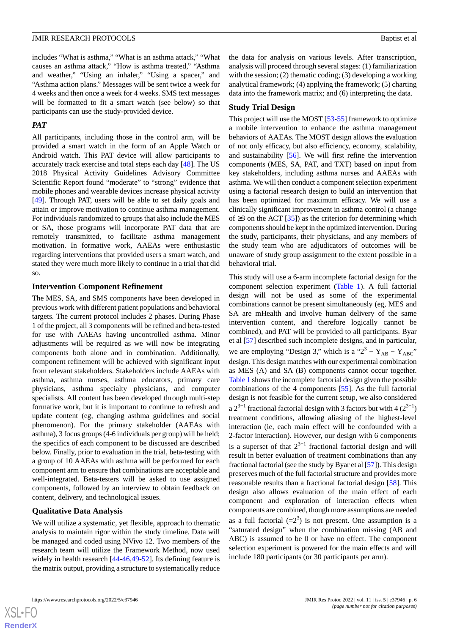includes "What is asthma," "What is an asthma attack," "What causes an asthma attack," "How is asthma treated," "Asthma and weather," "Using an inhaler," "Using a spacer," and "Asthma action plans." Messages will be sent twice a week for 4 weeks and then once a week for 4 weeks. SMS text messages will be formatted to fit a smart watch (see below) so that participants can use the study-provided device.

#### *PAT*

All participants, including those in the control arm, will be provided a smart watch in the form of an Apple Watch or Android watch. This PAT device will allow participants to accurately track exercise and total steps each day [[48\]](#page-10-4). The US 2018 Physical Activity Guidelines Advisory Committee Scientific Report found "moderate" to "strong" evidence that mobile phones and wearable devices increase physical activity [[49\]](#page-10-5). Through PAT, users will be able to set daily goals and attain or improve motivation to continue asthma management. For individuals randomized to groups that also include the MES or SA, those programs will incorporate PAT data that are remotely transmitted, to facilitate asthma management motivation. In formative work, AAEAs were enthusiastic regarding interventions that provided users a smart watch, and stated they were much more likely to continue in a trial that did so.

#### **Intervention Component Refinement**

The MES, SA, and SMS components have been developed in previous work with different patient populations and behavioral targets. The current protocol includes 2 phases. During Phase 1 of the project, all 3 components will be refined and beta-tested for use with AAEAs having uncontrolled asthma. Minor adjustments will be required as we will now be integrating components both alone and in combination. Additionally, component refinement will be achieved with significant input from relevant stakeholders. Stakeholders include AAEAs with asthma, asthma nurses, asthma educators, primary care physicians, asthma specialty physicians, and computer specialists. All content has been developed through multi-step formative work, but it is important to continue to refresh and update content (eg, changing asthma guidelines and social phenomenon). For the primary stakeholder (AAEAs with asthma), 3 focus groups (4-6 individuals per group) will be held; the specifics of each component to be discussed are described below. Finally, prior to evaluation in the trial, beta-testing with a group of 10 AAEAs with asthma will be performed for each component arm to ensure that combinations are acceptable and well-integrated. Beta-testers will be asked to use assigned components, followed by an interview to obtain feedback on content, delivery, and technological issues.

#### **Qualitative Data Analysis**

We will utilize a systematic, yet flexible, approach to thematic analysis to maintain rigor within the study timeline. Data will be managed and coded using NVivo 12. Two members of the research team will utilize the Framework Method, now used widely in health research [[44](#page-10-6)[-46](#page-10-2),[49-](#page-10-5)[52](#page-10-7)]. Its defining feature is the matrix output, providing a structure to systematically reduce

the data for analysis on various levels. After transcription, analysis will proceed through several stages: (1) familiarization with the session; (2) thematic coding; (3) developing a working analytical framework; (4) applying the framework; (5) charting data into the framework matrix; and (6) interpreting the data.

#### **Study Trial Design**

This project will use the MOST [[53-](#page-10-8)[55](#page-10-9)] framework to optimize a mobile intervention to enhance the asthma management behaviors of AAEAs. The MOST design allows the evaluation of not only efficacy, but also efficiency, economy, scalability, and sustainability [\[56](#page-10-10)]. We will first refine the intervention components (MES, SA, PAT, and TXT) based on input from key stakeholders, including asthma nurses and AAEAs with asthma. We will then conduct a component selection experiment using a factorial research design to build an intervention that has been optimized for maximum efficacy. We will use a clinically significant improvement in asthma control (a change of  $\geq$ 3 on the ACT [\[35](#page-9-13)]) as the criterion for determining which components should be kept in the optimized intervention. During the study, participants, their physicians, and any members of the study team who are adjudicators of outcomes will be unaware of study group assignment to the extent possible in a behavioral trial.

This study will use a 6-arm incomplete factorial design for the component selection experiment [\(Table 1](#page-6-0)). A full factorial design will not be used as some of the experimental combinations cannot be present simultaneously (eg, MES and SA are mHealth and involve human delivery of the same intervention content, and therefore logically cannot be combined), and PAT will be provided to all participants. Byar et al [\[57](#page-10-11)] described such incomplete designs, and in particular, we are employing "Design 3," which is a " $2^3 - Y_{AB} - Y_{ABC}$ " design. This design matches with our experimental combination as MES (A) and SA (B) components cannot occur together. [Table 1](#page-6-0) shows the incomplete factorial design given the possible combinations of the 4 components [\[55](#page-10-9)]. As the full factorial design is not feasible for the current setup, we also considered a  $2^{3-1}$  fractional factorial design with 3 factors but with 4  $(2^{3-1})$ treatment conditions, allowing aliasing of the highest-level interaction (ie, each main effect will be confounded with a 2-factor interaction). However, our design with 6 components is a superset of that  $2^{3-1}$  fractional factorial design and will result in better evaluation of treatment combinations than any fractional factorial (see the study by Byar et al [[57\]](#page-10-11)). This design preserves much of the full factorial structure and provides more reasonable results than a fractional factorial design [\[58](#page-10-12)]. This design also allows evaluation of the main effect of each component and exploration of interaction effects when components are combined, though more assumptions are needed as a full factorial  $(=2^3)$  is not present. One assumption is a "saturated design" when the combination missing (AB and ABC) is assumed to be 0 or have no effect. The component selection experiment is powered for the main effects and will include 180 participants (or 30 participants per arm).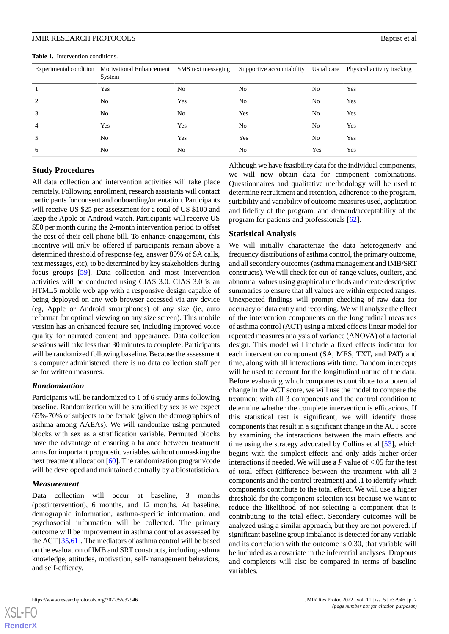<span id="page-6-0"></span>Table 1. Intervention conditions.

| $\mathbf{a}$ and $\mathbf{b}$ and $\mathbf{c}$ and $\mathbf{c}$ and $\mathbf{c}$ and $\mathbf{c}$ and $\mathbf{c}$ and $\mathbf{c}$ |                                                                              |     |                                                                 |    |     |  |  |
|-------------------------------------------------------------------------------------------------------------------------------------|------------------------------------------------------------------------------|-----|-----------------------------------------------------------------|----|-----|--|--|
|                                                                                                                                     | Experimental condition Motivational Enhancement SMS text messaging<br>System |     | Supportive accountability Usual care Physical activity tracking |    |     |  |  |
|                                                                                                                                     | Yes                                                                          | No  | No                                                              | Nο | Yes |  |  |
|                                                                                                                                     | No.                                                                          | Yes | No                                                              | No | Yes |  |  |
|                                                                                                                                     | No                                                                           | Nο  | Yes                                                             | Nο | Yes |  |  |

4 Yes Yes No No Yes 5 No Yes Yes No Yes 6 No No No Yes Yes

| <b>Study Procedures</b> |  |
|-------------------------|--|

All data collection and intervention activities will take place remotely. Following enrollment, research assistants will contact participants for consent and onboarding/orientation. Participants will receive US \$25 per assessment for a total of US \$100 and keep the Apple or Android watch. Participants will receive US \$50 per month during the 2-month intervention period to offset the cost of their cell phone bill. To enhance engagement, this incentive will only be offered if participants remain above a determined threshold of response (eg, answer 80% of SA calls, text messages, etc), to be determined by key stakeholders during focus groups [\[59](#page-10-13)]. Data collection and most intervention activities will be conducted using CIAS 3.0. CIAS 3.0 is an HTML5 mobile web app with a responsive design capable of being deployed on any web browser accessed via any device (eg, Apple or Android smartphones) of any size (ie, auto reformat for optimal viewing on any size screen). This mobile version has an enhanced feature set, including improved voice quality for narrated content and appearance. Data collection sessions will take less than 30 minutes to complete. Participants will be randomized following baseline. Because the assessment is computer administered, there is no data collection staff per se for written measures.

#### *Randomization*

Participants will be randomized to 1 of 6 study arms following baseline. Randomization will be stratified by sex as we expect 65%-70% of subjects to be female (given the demographics of asthma among AAEAs). We will randomize using permuted blocks with sex as a stratification variable. Permuted blocks have the advantage of ensuring a balance between treatment arms for important prognostic variables without unmasking the next treatment allocation [[60\]](#page-10-14). The randomization program/code will be developed and maintained centrally by a biostatistician.

#### *Measurement*

Data collection will occur at baseline, 3 months (postintervention), 6 months, and 12 months. At baseline, demographic information, asthma-specific information, and psychosocial information will be collected. The primary outcome will be improvement in asthma control as assessed by the ACT [\[35](#page-9-13),[61\]](#page-10-15). The mediators of asthma control will be based on the evaluation of IMB and SRT constructs, including asthma knowledge, attitudes, motivation, self-management behaviors, and self-efficacy.

Although we have feasibility data for the individual components, we will now obtain data for component combinations. Questionnaires and qualitative methodology will be used to determine recruitment and retention, adherence to the program, suitability and variability of outcome measures used, application and fidelity of the program, and demand/acceptability of the program for patients and professionals [\[62](#page-10-16)].

#### **Statistical Analysis**

We will initially characterize the data heterogeneity and frequency distributions of asthma control, the primary outcome, and all secondary outcomes (asthma management and IMB/SRT constructs). We will check for out-of-range values, outliers, and abnormal values using graphical methods and create descriptive summaries to ensure that all values are within expected ranges. Unexpected findings will prompt checking of raw data for accuracy of data entry and recording. We will analyze the effect of the intervention components on the longitudinal measures of asthma control (ACT) using a mixed effects linear model for repeated measures analysis of variance (ANOVA) of a factorial design. This model will include a fixed effects indicator for each intervention component (SA, MES, TXT, and PAT) and time, along with all interactions with time. Random intercepts will be used to account for the longitudinal nature of the data. Before evaluating which components contribute to a potential change in the ACT score, we will use the model to compare the treatment with all 3 components and the control condition to determine whether the complete intervention is efficacious. If this statistical test is significant, we will identify those components that result in a significant change in the ACT score by examining the interactions between the main effects and time using the strategy advocated by Collins et al [[53\]](#page-10-8), which begins with the simplest effects and only adds higher-order interactions if needed. We will use a *P* value of <.05 for the test of total effect (difference between the treatment with all 3 components and the control treatment) and .1 to identify which components contribute to the total effect. We will use a higher threshold for the component selection test because we want to reduce the likelihood of not selecting a component that is contributing to the total effect. Secondary outcomes will be analyzed using a similar approach, but they are not powered. If significant baseline group imbalance is detected for any variable and its correlation with the outcome is 0.30, that variable will be included as a covariate in the inferential analyses. Dropouts and completers will also be compared in terms of baseline variables.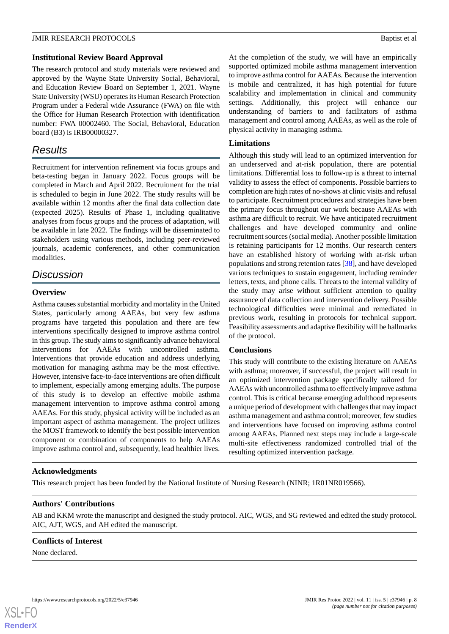#### **Institutional Review Board Approval**

The research protocol and study materials were reviewed and approved by the Wayne State University Social, Behavioral, and Education Review Board on September 1, 2021. Wayne State University (WSU) operates its Human Research Protection Program under a Federal wide Assurance (FWA) on file with the Office for Human Research Protection with identification number: FWA 00002460. The Social, Behavioral, Education board (B3) is IRB00000327.

# *Results*

Recruitment for intervention refinement via focus groups and beta-testing began in January 2022. Focus groups will be completed in March and April 2022. Recruitment for the trial is scheduled to begin in June 2022. The study results will be available within 12 months after the final data collection date (expected 2025). Results of Phase 1, including qualitative analyses from focus groups and the process of adaptation, will be available in late 2022. The findings will be disseminated to stakeholders using various methods, including peer-reviewed journals, academic conferences, and other communication modalities.

# *Discussion*

# **Overview**

Asthma causes substantial morbidity and mortality in the United States, particularly among AAEAs, but very few asthma programs have targeted this population and there are few interventions specifically designed to improve asthma control in this group. The study aims to significantly advance behavioral interventions for AAEAs with uncontrolled asthma. Interventions that provide education and address underlying motivation for managing asthma may be the most effective. However, intensive face-to-face interventions are often difficult to implement, especially among emerging adults. The purpose of this study is to develop an effective mobile asthma management intervention to improve asthma control among AAEAs. For this study, physical activity will be included as an important aspect of asthma management. The project utilizes the MOST framework to identify the best possible intervention component or combination of components to help AAEAs improve asthma control and, subsequently, lead healthier lives.

#### **Acknowledgments**

This research project has been funded by the National Institute of Nursing Research (NINR; 1R01NR019566).

# **Authors' Contributions**

AB and KKM wrote the manuscript and designed the study protocol. AIC, WGS, and SG reviewed and edited the study protocol. AIC, AJT, WGS, and AH edited the manuscript.

#### **Conflicts of Interest**

None declared.

At the completion of the study, we will have an empirically supported optimized mobile asthma management intervention to improve asthma control for AAEAs. Because the intervention is mobile and centralized, it has high potential for future scalability and implementation in clinical and community settings. Additionally, this project will enhance our understanding of barriers to and facilitators of asthma management and control among AAEAs, as well as the role of physical activity in managing asthma.

# **Limitations**

Although this study will lead to an optimized intervention for an underserved and at-risk population, there are potential limitations. Differential loss to follow-up is a threat to internal validity to assess the effect of components. Possible barriers to completion are high rates of no-shows at clinic visits and refusal to participate. Recruitment procedures and strategies have been the primary focus throughout our work because AAEAs with asthma are difficult to recruit. We have anticipated recruitment challenges and have developed community and online recruitment sources (social media). Another possible limitation is retaining participants for 12 months. Our research centers have an established history of working with at-risk urban populations and strong retention rates [\[38](#page-9-16)], and have developed various techniques to sustain engagement, including reminder letters, texts, and phone calls. Threats to the internal validity of the study may arise without sufficient attention to quality assurance of data collection and intervention delivery. Possible technological difficulties were minimal and remediated in previous work, resulting in protocols for technical support. Feasibility assessments and adaptive flexibility will be hallmarks of the protocol.

# **Conclusions**

This study will contribute to the existing literature on AAEAs with asthma; moreover, if successful, the project will result in an optimized intervention package specifically tailored for AAEAs with uncontrolled asthma to effectively improve asthma control. This is critical because emerging adulthood represents a unique period of development with challenges that may impact asthma management and asthma control; moreover, few studies and interventions have focused on improving asthma control among AAEAs. Planned next steps may include a large-scale multi-site effectiveness randomized controlled trial of the resulting optimized intervention package.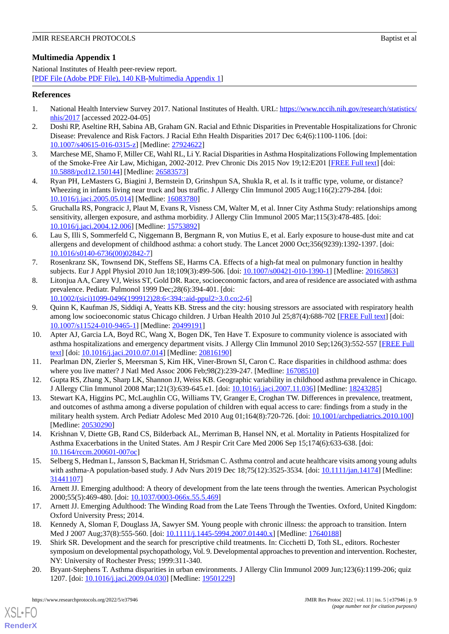# **Multimedia Appendix 1**

National Institutes of Health peer-review report. [[PDF File \(Adobe PDF File\), 140 KB](https://jmir.org/api/download?alt_name=resprot_v11i5e37946_app1.pdf&filename=7e7c9ccf7064146bba5585c0b966d69b.pdf)-[Multimedia Appendix 1\]](https://jmir.org/api/download?alt_name=resprot_v11i5e37946_app1.pdf&filename=7e7c9ccf7064146bba5585c0b966d69b.pdf)

# <span id="page-8-0"></span>**References**

- <span id="page-8-1"></span>1. National Health Interview Survey 2017. National Institutes of Health. URL: [https://www.nccih.nih.gov/research/statistics/](https://www.nccih.nih.gov/research/statistics/nhis/2017) [nhis/2017](https://www.nccih.nih.gov/research/statistics/nhis/2017) [accessed 2022-04-05]
- <span id="page-8-2"></span>2. Doshi RP, Aseltine RH, Sabina AB, Graham GN. Racial and Ethnic Disparities in Preventable Hospitalizations for Chronic Disease: Prevalence and Risk Factors. J Racial Ethn Health Disparities 2017 Dec 6;4(6):1100-1106. [doi: [10.1007/s40615-016-0315-z](http://dx.doi.org/10.1007/s40615-016-0315-z)] [Medline: [27924622\]](http://www.ncbi.nlm.nih.gov/entrez/query.fcgi?cmd=Retrieve&db=PubMed&list_uids=27924622&dopt=Abstract)
- <span id="page-8-3"></span>3. Marchese ME, Shamo F, Miller CE, Wahl RL, Li Y. Racial Disparities in Asthma Hospitalizations Following Implementation of the Smoke-Free Air Law, Michigan, 2002-2012. Prev Chronic Dis 2015 Nov 19;12:E201 [\[FREE Full text](https://www.cdc.gov/pcd/issues/2015/15_0144.htm)] [doi: [10.5888/pcd12.150144\]](http://dx.doi.org/10.5888/pcd12.150144) [Medline: [26583573](http://www.ncbi.nlm.nih.gov/entrez/query.fcgi?cmd=Retrieve&db=PubMed&list_uids=26583573&dopt=Abstract)]
- <span id="page-8-4"></span>4. Ryan PH, LeMasters G, Biagini J, Bernstein D, Grinshpun SA, Shukla R, et al. Is it traffic type, volume, or distance? Wheezing in infants living near truck and bus traffic. J Allergy Clin Immunol 2005 Aug;116(2):279-284. [doi: [10.1016/j.jaci.2005.05.014](http://dx.doi.org/10.1016/j.jaci.2005.05.014)] [Medline: [16083780\]](http://www.ncbi.nlm.nih.gov/entrez/query.fcgi?cmd=Retrieve&db=PubMed&list_uids=16083780&dopt=Abstract)
- <span id="page-8-5"></span>5. Gruchalla RS, Pongracic J, Plaut M, Evans R, Visness CM, Walter M, et al. Inner City Asthma Study: relationships among sensitivity, allergen exposure, and asthma morbidity. J Allergy Clin Immunol 2005 Mar;115(3):478-485. [doi: [10.1016/j.jaci.2004.12.006](http://dx.doi.org/10.1016/j.jaci.2004.12.006)] [Medline: [15753892\]](http://www.ncbi.nlm.nih.gov/entrez/query.fcgi?cmd=Retrieve&db=PubMed&list_uids=15753892&dopt=Abstract)
- <span id="page-8-6"></span>6. Lau S, Illi S, Sommerfeld C, Niggemann B, Bergmann R, von Mutius E, et al. Early exposure to house-dust mite and cat allergens and development of childhood asthma: a cohort study. The Lancet 2000 Oct;356(9239):1392-1397. [doi: [10.1016/s0140-6736\(00\)02842-7](http://dx.doi.org/10.1016/s0140-6736(00)02842-7)]
- <span id="page-8-7"></span>7. Rosenkranz SK, Townsend DK, Steffens SE, Harms CA. Effects of a high-fat meal on pulmonary function in healthy subjects. Eur J Appl Physiol 2010 Jun 18;109(3):499-506. [doi: [10.1007/s00421-010-1390-1](http://dx.doi.org/10.1007/s00421-010-1390-1)] [Medline: [20165863\]](http://www.ncbi.nlm.nih.gov/entrez/query.fcgi?cmd=Retrieve&db=PubMed&list_uids=20165863&dopt=Abstract)
- <span id="page-8-8"></span>8. Litonjua AA, Carey VJ, Weiss ST, Gold DR. Race, socioeconomic factors, and area of residence are associated with asthma prevalence. Pediatr. Pulmonol 1999 Dec;28(6):394-401. [doi: [10.1002/\(sici\)1099-0496\(199912\)28:6<394::aid-ppul2>3.0.co;2-6\]](http://dx.doi.org/10.1002/(sici)1099-0496(199912)28:6<394::aid-ppul2>3.0.co;2-6)
- <span id="page-8-9"></span>9. Quinn K, Kaufman JS, Siddiqi A, Yeatts KB. Stress and the city: housing stressors are associated with respiratory health among low socioeconomic status Chicago children. J Urban Health 2010 Jul 25;87(4):688-702 [[FREE Full text](http://europepmc.org/abstract/MED/20499191)] [doi: [10.1007/s11524-010-9465-1\]](http://dx.doi.org/10.1007/s11524-010-9465-1) [Medline: [20499191](http://www.ncbi.nlm.nih.gov/entrez/query.fcgi?cmd=Retrieve&db=PubMed&list_uids=20499191&dopt=Abstract)]
- <span id="page-8-10"></span>10. Apter AJ, Garcia LA, Boyd RC, Wang X, Bogen DK, Ten Have T. Exposure to community violence is associated with asthma hospitalizations and emergency department visits. J Allergy Clin Immunol 2010 Sep;126(3):552-557 [\[FREE Full](http://europepmc.org/abstract/MED/20816190) [text](http://europepmc.org/abstract/MED/20816190)] [doi: [10.1016/j.jaci.2010.07.014](http://dx.doi.org/10.1016/j.jaci.2010.07.014)] [Medline: [20816190\]](http://www.ncbi.nlm.nih.gov/entrez/query.fcgi?cmd=Retrieve&db=PubMed&list_uids=20816190&dopt=Abstract)
- <span id="page-8-11"></span>11. Pearlman DN, Zierler S, Meersman S, Kim HK, Viner-Brown SI, Caron C. Race disparities in childhood asthma: does where you live matter? J Natl Med Assoc 2006 Feb;98(2):239-247. [Medline: [16708510](http://www.ncbi.nlm.nih.gov/entrez/query.fcgi?cmd=Retrieve&db=PubMed&list_uids=16708510&dopt=Abstract)]
- 12. Gupta RS, Zhang X, Sharp LK, Shannon JJ, Weiss KB. Geographic variability in childhood asthma prevalence in Chicago. J Allergy Clin Immunol 2008 Mar;121(3):639-645.e1. [doi: [10.1016/j.jaci.2007.11.036](http://dx.doi.org/10.1016/j.jaci.2007.11.036)] [Medline: [18243285\]](http://www.ncbi.nlm.nih.gov/entrez/query.fcgi?cmd=Retrieve&db=PubMed&list_uids=18243285&dopt=Abstract)
- <span id="page-8-13"></span><span id="page-8-12"></span>13. Stewart KA, Higgins PC, McLaughlin CG, Williams TV, Granger E, Croghan TW. Differences in prevalence, treatment, and outcomes of asthma among a diverse population of children with equal access to care: findings from a study in the military health system. Arch Pediatr Adolesc Med 2010 Aug 01;164(8):720-726. [doi: [10.1001/archpediatrics.2010.100](http://dx.doi.org/10.1001/archpediatrics.2010.100)] [Medline: [20530290](http://www.ncbi.nlm.nih.gov/entrez/query.fcgi?cmd=Retrieve&db=PubMed&list_uids=20530290&dopt=Abstract)]
- <span id="page-8-14"></span>14. Krishnan V, Diette GB, Rand CS, Bilderback AL, Merriman B, Hansel NN, et al. Mortality in Patients Hospitalized for Asthma Exacerbations in the United States. Am J Respir Crit Care Med 2006 Sep 15;174(6):633-638. [doi: [10.1164/rccm.200601-007oc](http://dx.doi.org/10.1164/rccm.200601-007oc)]
- <span id="page-8-16"></span><span id="page-8-15"></span>15. Selberg S, Hedman L, Jansson S, Backman H, Stridsman C. Asthma control and acute healthcare visits among young adults with asthma-A population-based study. J Adv Nurs 2019 Dec 18;75(12):3525-3534. [doi: [10.1111/jan.14174\]](http://dx.doi.org/10.1111/jan.14174) [Medline: [31441107](http://www.ncbi.nlm.nih.gov/entrez/query.fcgi?cmd=Retrieve&db=PubMed&list_uids=31441107&dopt=Abstract)]
- <span id="page-8-17"></span>16. Arnett JJ. Emerging adulthood: A theory of development from the late teens through the twenties. American Psychologist 2000;55(5):469-480. [doi: [10.1037/0003-066x.55.5.469\]](http://dx.doi.org/10.1037/0003-066x.55.5.469)
- <span id="page-8-18"></span>17. Arnett JJ. Emerging Adulthood: The Winding Road from the Late Teens Through the Twenties. Oxford, United Kingdom: Oxford University Press; 2014.
- 18. Kennedy A, Sloman F, Douglass JA, Sawyer SM. Young people with chronic illness: the approach to transition. Intern Med J 2007 Aug; 37(8): 555-560. [doi: [10.1111/j.1445-5994.2007.01440.x\]](http://dx.doi.org/10.1111/j.1445-5994.2007.01440.x) [Medline: [17640188\]](http://www.ncbi.nlm.nih.gov/entrez/query.fcgi?cmd=Retrieve&db=PubMed&list_uids=17640188&dopt=Abstract)
- 19. Shirk SR. Development and the search for prescriptive child treatments. In: Cicchetti D, Toth SL, editors. Rochester symposium on developmental psychopathology, Vol. 9. Developmental approaches to prevention and intervention. Rochester, NY: University of Rochester Press; 1999:311-340.
- 20. Bryant-Stephens T. Asthma disparities in urban environments. J Allergy Clin Immunol 2009 Jun;123(6):1199-206; quiz 1207. [doi: [10.1016/j.jaci.2009.04.030](http://dx.doi.org/10.1016/j.jaci.2009.04.030)] [Medline: [19501229](http://www.ncbi.nlm.nih.gov/entrez/query.fcgi?cmd=Retrieve&db=PubMed&list_uids=19501229&dopt=Abstract)]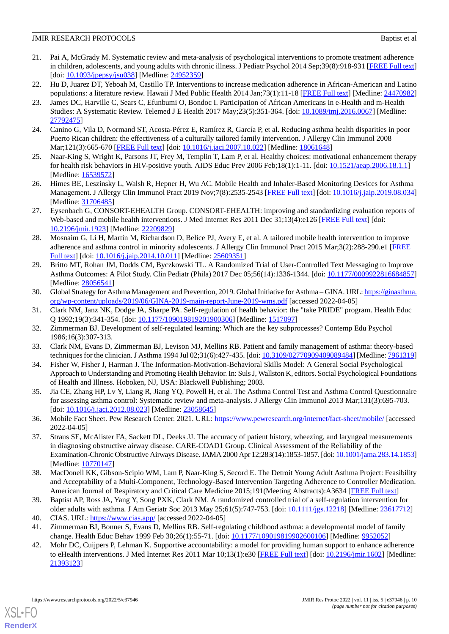- 21. Pai A, McGrady M. Systematic review and meta-analysis of psychological interventions to promote treatment adherence in children, adolescents, and young adults with chronic illness. J Pediatr Psychol 2014 Sep;39(8):918-931 [[FREE Full text](http://europepmc.org/abstract/MED/24952359)] [doi: <u>10.1093/jpepsy/jsu038</u>] [Medline: [24952359](http://www.ncbi.nlm.nih.gov/entrez/query.fcgi?cmd=Retrieve&db=PubMed&list_uids=24952359&dopt=Abstract)]
- <span id="page-9-1"></span><span id="page-9-0"></span>22. Hu D, Juarez DT, Yeboah M, Castillo TP. Interventions to increase medication adherence in African-American and Latino populations: a literature review. Hawaii J Med Public Health 2014 Jan;73(1):11-18 [[FREE Full text\]](http://europepmc.org/abstract/MED/24470982) [Medline: [24470982](http://www.ncbi.nlm.nih.gov/entrez/query.fcgi?cmd=Retrieve&db=PubMed&list_uids=24470982&dopt=Abstract)]
- 23. James DC, Harville C, Sears C, Efunbumi O, Bondoc I. Participation of African Americans in e-Health and m-Health Studies: A Systematic Review. Telemed J E Health 2017 May;23(5):351-364. [doi: [10.1089/tmj.2016.0067](http://dx.doi.org/10.1089/tmj.2016.0067)] [Medline: [27792475](http://www.ncbi.nlm.nih.gov/entrez/query.fcgi?cmd=Retrieve&db=PubMed&list_uids=27792475&dopt=Abstract)]
- <span id="page-9-3"></span><span id="page-9-2"></span>24. Canino G, Vila D, Normand ST, Acosta-Pérez E, Ramírez R, García P, et al. Reducing asthma health disparities in poor Puerto Rican children: the effectiveness of a culturally tailored family intervention. J Allergy Clin Immunol 2008 Mar;121(3):665-670 [[FREE Full text\]](http://europepmc.org/abstract/MED/18061648) [doi: [10.1016/j.jaci.2007.10.022\]](http://dx.doi.org/10.1016/j.jaci.2007.10.022) [Medline: [18061648\]](http://www.ncbi.nlm.nih.gov/entrez/query.fcgi?cmd=Retrieve&db=PubMed&list_uids=18061648&dopt=Abstract)
- <span id="page-9-4"></span>25. Naar-King S, Wright K, Parsons JT, Frey M, Templin T, Lam P, et al. Healthy choices: motivational enhancement therapy for health risk behaviors in HIV-positive youth. AIDS Educ Prev 2006 Feb;18(1):1-11. [doi: [10.1521/aeap.2006.18.1.1\]](http://dx.doi.org/10.1521/aeap.2006.18.1.1) [Medline: [16539572](http://www.ncbi.nlm.nih.gov/entrez/query.fcgi?cmd=Retrieve&db=PubMed&list_uids=16539572&dopt=Abstract)]
- <span id="page-9-5"></span>26. Himes BE, Leszinsky L, Walsh R, Hepner H, Wu AC. Mobile Health and Inhaler-Based Monitoring Devices for Asthma Management. J Allergy Clin Immunol Pract 2019 Nov;7(8):2535-2543 [\[FREE Full text](http://europepmc.org/abstract/MED/31706485)] [doi: [10.1016/j.jaip.2019.08.034](http://dx.doi.org/10.1016/j.jaip.2019.08.034)] [Medline: [31706485](http://www.ncbi.nlm.nih.gov/entrez/query.fcgi?cmd=Retrieve&db=PubMed&list_uids=31706485&dopt=Abstract)]
- <span id="page-9-6"></span>27. Eysenbach G, CONSORT-EHEALTH Group. CONSORT-EHEALTH: improving and standardizing evaluation reports of Web-based and mobile health interventions. J Med Internet Res 2011 Dec 31;13(4):e126 [\[FREE Full text\]](https://www.jmir.org/2011/4/e126/) [doi: [10.2196/jmir.1923](http://dx.doi.org/10.2196/jmir.1923)] [Medline: [22209829](http://www.ncbi.nlm.nih.gov/entrez/query.fcgi?cmd=Retrieve&db=PubMed&list_uids=22209829&dopt=Abstract)]
- <span id="page-9-7"></span>28. Mosnaim G, Li H, Martin M, Richardson D, Belice PJ, Avery E, et al. A tailored mobile health intervention to improve adherence and asthma control in minority adolescents. J Allergy Clin Immunol Pract 2015 Mar;3(2):288-290.e1 [\[FREE](http://europepmc.org/abstract/MED/25609351) [Full text\]](http://europepmc.org/abstract/MED/25609351) [doi: [10.1016/j.jaip.2014.10.011](http://dx.doi.org/10.1016/j.jaip.2014.10.011)] [Medline: [25609351](http://www.ncbi.nlm.nih.gov/entrez/query.fcgi?cmd=Retrieve&db=PubMed&list_uids=25609351&dopt=Abstract)]
- <span id="page-9-8"></span>29. Britto MT, Rohan JM, Dodds CM, Byczkowski TL. A Randomized Trial of User-Controlled Text Messaging to Improve Asthma Outcomes: A Pilot Study. Clin Pediatr (Phila) 2017 Dec 05;56(14):1336-1344. [doi: [10.1177/0009922816684857](http://dx.doi.org/10.1177/0009922816684857)] [Medline: [28056541](http://www.ncbi.nlm.nih.gov/entrez/query.fcgi?cmd=Retrieve&db=PubMed&list_uids=28056541&dopt=Abstract)]
- <span id="page-9-10"></span><span id="page-9-9"></span>30. Global Strategy for Asthma Management and Prevention, 2019. Global Initiative for Asthma - GINA. URL: [https://ginasthma.](https://ginasthma.org/wp-content/uploads/2019/06/GINA-2019-main-report-June-2019-wms.pdf) [org/wp-content/uploads/2019/06/GINA-2019-main-report-June-2019-wms.pdf](https://ginasthma.org/wp-content/uploads/2019/06/GINA-2019-main-report-June-2019-wms.pdf) [accessed 2022-04-05]
- <span id="page-9-11"></span>31. Clark NM, Janz NK, Dodge JA, Sharpe PA. Self-regulation of health behavior: the "take PRIDE" program. Health Educ Q 1992;19(3):341-354. [doi: [10.1177/109019819201900306](http://dx.doi.org/10.1177/109019819201900306)] [Medline: [1517097](http://www.ncbi.nlm.nih.gov/entrez/query.fcgi?cmd=Retrieve&db=PubMed&list_uids=1517097&dopt=Abstract)]
- <span id="page-9-12"></span>32. Zimmerman BJ. Development of self-regulated learning: Which are the key subprocesses? Contemp Edu Psychol 1986;16(3):307-313.
- <span id="page-9-13"></span>33. Clark NM, Evans D, Zimmerman BJ, Levison MJ, Mellins RB. Patient and family management of asthma: theory-based techniques for the clinician. J Asthma 1994 Jul 02;31(6):427-435. [doi: [10.3109/02770909409089484\]](http://dx.doi.org/10.3109/02770909409089484) [Medline: [7961319](http://www.ncbi.nlm.nih.gov/entrez/query.fcgi?cmd=Retrieve&db=PubMed&list_uids=7961319&dopt=Abstract)]
- <span id="page-9-14"></span>34. Fisher W, Fisher J, Harman J. The Information-Motivation-Behavioral Skills Model: A General Social Psychological Approach to Understanding and Promoting Health Behavior. In: Suls J, Wallston K, editors. Social Psychological Foundations of Health and Illness. Hoboken, NJ, USA: Blackwell Publishing; 2003.
- <span id="page-9-15"></span>35. Jia CE, Zhang HP, Lv Y, Liang R, Jiang YQ, Powell H, et al. The Asthma Control Test and Asthma Control Questionnaire for assessing asthma control: Systematic review and meta-analysis. J Allergy Clin Immunol 2013 Mar;131(3):695-703. [doi: [10.1016/j.jaci.2012.08.023](http://dx.doi.org/10.1016/j.jaci.2012.08.023)] [Medline: [23058645](http://www.ncbi.nlm.nih.gov/entrez/query.fcgi?cmd=Retrieve&db=PubMed&list_uids=23058645&dopt=Abstract)]
- <span id="page-9-16"></span>36. Mobile Fact Sheet. Pew Research Center. 2021. URL: <https://www.pewresearch.org/internet/fact-sheet/mobile/> [accessed 2022-04-05]
- <span id="page-9-17"></span>37. Straus SE, McAlister FA, Sackett DL, Deeks JJ. The accuracy of patient history, wheezing, and laryngeal measurements in diagnosing obstructive airway disease. CARE-COAD1 Group. Clinical Assessment of the Reliability of the Examination-Chronic Obstructive Airways Disease. JAMA 2000 Apr 12;283(14):1853-1857. [doi: [10.1001/jama.283.14.1853\]](http://dx.doi.org/10.1001/jama.283.14.1853) [Medline: [10770147](http://www.ncbi.nlm.nih.gov/entrez/query.fcgi?cmd=Retrieve&db=PubMed&list_uids=10770147&dopt=Abstract)]
- <span id="page-9-19"></span><span id="page-9-18"></span>38. MacDonell KK, Gibson-Scipio WM, Lam P, Naar-King S, Secord E. The Detroit Young Adult Asthma Project: Feasibility and Acceptability of a Multi-Component, Technology-Based Intervention Targeting Adherence to Controller Medication. American Journal of Respiratory and Critical Care Medicine 2015;191(Meeting Abstracts):A3634 [\[FREE Full text\]](https://www.cochranelibrary.com/central/doi/10.1002/central/CN-01101124/full)
- <span id="page-9-20"></span>39. Baptist AP, Ross JA, Yang Y, Song PXK, Clark NM. A randomized controlled trial of a self-regulation intervention for older adults with asthma. J Am Geriatr Soc 2013 May 25;61(5):747-753. [doi: [10.1111/jgs.12218](http://dx.doi.org/10.1111/jgs.12218)] [Medline: [23617712](http://www.ncbi.nlm.nih.gov/entrez/query.fcgi?cmd=Retrieve&db=PubMed&list_uids=23617712&dopt=Abstract)]
- 40. CIAS. URL: <https://www.cias.app/> [accessed 2022-04-05]
- 41. Zimmerman BJ, Bonner S, Evans D, Mellins RB. Self-regulating childhood asthma: a developmental model of family change. Health Educ Behav 1999 Feb 30;26(1):55-71. [doi: [10.1177/109019819902600106](http://dx.doi.org/10.1177/109019819902600106)] [Medline: [9952052\]](http://www.ncbi.nlm.nih.gov/entrez/query.fcgi?cmd=Retrieve&db=PubMed&list_uids=9952052&dopt=Abstract)
- 42. Mohr DC, Cuijpers P, Lehman K. Supportive accountability: a model for providing human support to enhance adherence to eHealth interventions. J Med Internet Res 2011 Mar 10;13(1):e30 [[FREE Full text](https://www.jmir.org/2011/1/e30/)] [doi: [10.2196/jmir.1602](http://dx.doi.org/10.2196/jmir.1602)] [Medline: [21393123](http://www.ncbi.nlm.nih.gov/entrez/query.fcgi?cmd=Retrieve&db=PubMed&list_uids=21393123&dopt=Abstract)]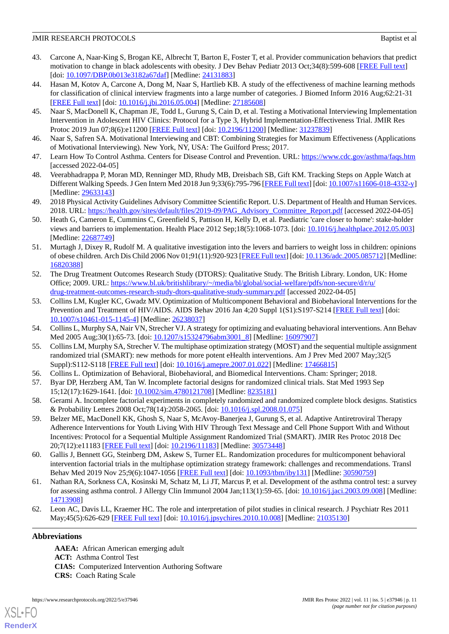- <span id="page-10-0"></span>43. Carcone A, Naar-King S, Brogan KE, Albrecht T, Barton E, Foster T, et al. Provider communication behaviors that predict motivation to change in black adolescents with obesity. J Dev Behav Pediatr 2013 Oct;34(8):599-608 [[FREE Full text](http://europepmc.org/abstract/MED/24131883)] [doi: [10.1097/DBP.0b013e3182a67daf\]](http://dx.doi.org/10.1097/DBP.0b013e3182a67daf) [Medline: [24131883](http://www.ncbi.nlm.nih.gov/entrez/query.fcgi?cmd=Retrieve&db=PubMed&list_uids=24131883&dopt=Abstract)]
- <span id="page-10-6"></span>44. Hasan M, Kotov A, Carcone A, Dong M, Naar S, Hartlieb KB. A study of the effectiveness of machine learning methods for classification of clinical interview fragments into a large number of categories. J Biomed Inform 2016 Aug;62:21-31 [[FREE Full text](https://linkinghub.elsevier.com/retrieve/pii/S1532-0464(16)30034-X)] [doi: [10.1016/j.jbi.2016.05.004](http://dx.doi.org/10.1016/j.jbi.2016.05.004)] [Medline: [27185608\]](http://www.ncbi.nlm.nih.gov/entrez/query.fcgi?cmd=Retrieve&db=PubMed&list_uids=27185608&dopt=Abstract)
- <span id="page-10-2"></span><span id="page-10-1"></span>45. Naar S, MacDonell K, Chapman JE, Todd L, Gurung S, Cain D, et al. Testing a Motivational Interviewing Implementation Intervention in Adolescent HIV Clinics: Protocol for a Type 3, Hybrid Implementation-Effectiveness Trial. JMIR Res Protoc 2019 Jun 07;8(6):e11200 [[FREE Full text\]](https://www.researchprotocols.org/2019/6/e11200/) [doi: [10.2196/11200](http://dx.doi.org/10.2196/11200)] [Medline: [31237839](http://www.ncbi.nlm.nih.gov/entrez/query.fcgi?cmd=Retrieve&db=PubMed&list_uids=31237839&dopt=Abstract)]
- <span id="page-10-3"></span>46. Naar S, Safren SA. Motivational Interviewing and CBT: Combining Strategies for Maximum Effectiveness (Applications of Motivational Interviewing). New York, NY, USA: The Guilford Press; 2017.
- <span id="page-10-4"></span>47. Learn How To Control Asthma. Centers for Disease Control and Prevention. URL:<https://www.cdc.gov/asthma/faqs.htm> [accessed 2022-04-05]
- <span id="page-10-5"></span>48. Veerabhadrappa P, Moran MD, Renninger MD, Rhudy MB, Dreisbach SB, Gift KM. Tracking Steps on Apple Watch at Different Walking Speeds. J Gen Intern Med 2018 Jun 9;33(6):795-796 [[FREE Full text\]](http://europepmc.org/abstract/MED/29633143) [doi: [10.1007/s11606-018-4332-y\]](http://dx.doi.org/10.1007/s11606-018-4332-y) [Medline: [29633143](http://www.ncbi.nlm.nih.gov/entrez/query.fcgi?cmd=Retrieve&db=PubMed&list_uids=29633143&dopt=Abstract)]
- 49. 2018 Physical Activity Guidelines Advisory Committee Scientific Report. U.S. Department of Health and Human Services. 2018. URL: [https://health.gov/sites/default/files/2019-09/PAG\\_Advisory\\_Committee\\_Report.pdf](https://health.gov/sites/default/files/2019-09/PAG_Advisory_Committee_Report.pdf) [accessed 2022-04-05]
- 50. Heath G, Cameron E, Cummins C, Greenfield S, Pattison H, Kelly D, et al. Paediatric 'care closer to home': stake-holder views and barriers to implementation. Health Place 2012 Sep;18(5):1068-1073. [doi: [10.1016/j.healthplace.2012.05.003](http://dx.doi.org/10.1016/j.healthplace.2012.05.003)] [Medline: [22687749](http://www.ncbi.nlm.nih.gov/entrez/query.fcgi?cmd=Retrieve&db=PubMed&list_uids=22687749&dopt=Abstract)]
- <span id="page-10-7"></span>51. Murtagh J, Dixey R, Rudolf M. A qualitative investigation into the levers and barriers to weight loss in children: opinions of obese children. Arch Dis Child 2006 Nov 01;91(11):920-923 [\[FREE Full text](http://europepmc.org/abstract/MED/16820388)] [doi: [10.1136/adc.2005.085712](http://dx.doi.org/10.1136/adc.2005.085712)] [Medline: [16820388](http://www.ncbi.nlm.nih.gov/entrez/query.fcgi?cmd=Retrieve&db=PubMed&list_uids=16820388&dopt=Abstract)]
- <span id="page-10-8"></span>52. The Drug Treatment Outcomes Research Study (DTORS): Qualitative Study. The British Library. London, UK: Home Office; 2009. URL: [https://www.bl.uk/britishlibrary/~/media/bl/global/social-welfare/pdfs/non-secure/d/r/u/](https://www.bl.uk/britishlibrary/~/media/bl/global/social-welfare/pdfs/non-secure/d/r/u/drug-treatment-outcomes-research-study-dtors-qualitative-study-summary.pdf) [drug-treatment-outcomes-research-study-dtors-qualitative-study-summary.pdf](https://www.bl.uk/britishlibrary/~/media/bl/global/social-welfare/pdfs/non-secure/d/r/u/drug-treatment-outcomes-research-study-dtors-qualitative-study-summary.pdf) [accessed 2022-04-05]
- <span id="page-10-9"></span>53. Collins LM, Kugler KC, Gwadz MV. Optimization of Multicomponent Behavioral and Biobehavioral Interventions for the Prevention and Treatment of HIV/AIDS. AIDS Behav 2016 Jan 4;20 Suppl 1(S1):S197-S214 [\[FREE Full text\]](http://europepmc.org/abstract/MED/26238037) [doi: [10.1007/s10461-015-1145-4\]](http://dx.doi.org/10.1007/s10461-015-1145-4) [Medline: [26238037](http://www.ncbi.nlm.nih.gov/entrez/query.fcgi?cmd=Retrieve&db=PubMed&list_uids=26238037&dopt=Abstract)]
- <span id="page-10-10"></span>54. Collins L, Murphy SA, Nair VN, Strecher VJ. A strategy for optimizing and evaluating behavioral interventions. Ann Behav Med 2005 Aug;30(1):65-73. [doi: [10.1207/s15324796abm3001\\_8](http://dx.doi.org/10.1207/s15324796abm3001_8)] [Medline: [16097907](http://www.ncbi.nlm.nih.gov/entrez/query.fcgi?cmd=Retrieve&db=PubMed&list_uids=16097907&dopt=Abstract)]
- <span id="page-10-11"></span>55. Collins LM, Murphy SA, Strecher V. The multiphase optimization strategy (MOST) and the sequential multiple assignment randomized trial (SMART): new methods for more potent eHealth interventions. Am J Prev Med 2007 May;32(5 Suppl):S112-S118 [\[FREE Full text\]](http://europepmc.org/abstract/MED/17466815) [doi: [10.1016/j.amepre.2007.01.022](http://dx.doi.org/10.1016/j.amepre.2007.01.022)] [Medline: [17466815](http://www.ncbi.nlm.nih.gov/entrez/query.fcgi?cmd=Retrieve&db=PubMed&list_uids=17466815&dopt=Abstract)]
- <span id="page-10-13"></span><span id="page-10-12"></span>56. Collins L. Optimization of Behavioral, Biobehavioral, and Biomedical Interventions. Cham: Springer; 2018.
- 57. Byar DP, Herzberg AM, Tan W. Incomplete factorial designs for randomized clinical trials. Stat Med 1993 Sep 15;12(17):1629-1641. [doi: [10.1002/sim.4780121708\]](http://dx.doi.org/10.1002/sim.4780121708) [Medline: [8235181\]](http://www.ncbi.nlm.nih.gov/entrez/query.fcgi?cmd=Retrieve&db=PubMed&list_uids=8235181&dopt=Abstract)
- 58. Gerami A. Incomplete factorial experiments in completely randomized and randomized complete block designs. Statistics & Probability Letters 2008 Oct;78(14):2058-2065. [doi: [10.1016/j.spl.2008.01.075\]](http://dx.doi.org/10.1016/j.spl.2008.01.075)
- <span id="page-10-15"></span><span id="page-10-14"></span>59. Belzer ME, MacDonell KK, Ghosh S, Naar S, McAvoy-Banerjea J, Gurung S, et al. Adaptive Antiretroviral Therapy Adherence Interventions for Youth Living With HIV Through Text Message and Cell Phone Support With and Without Incentives: Protocol for a Sequential Multiple Assignment Randomized Trial (SMART). JMIR Res Protoc 2018 Dec 20;7(12):e11183 [\[FREE Full text](https://www.researchprotocols.org/2018/12/e11183/)] [doi: [10.2196/11183\]](http://dx.doi.org/10.2196/11183) [Medline: [30573448\]](http://www.ncbi.nlm.nih.gov/entrez/query.fcgi?cmd=Retrieve&db=PubMed&list_uids=30573448&dopt=Abstract)
- <span id="page-10-16"></span>60. Gallis J, Bennett GG, Steinberg DM, Askew S, Turner EL. Randomization procedures for multicomponent behavioral intervention factorial trials in the multiphase optimization strategy framework: challenges and recommendations. Transl Behav Med 2019 Nov 25;9(6):1047-1056 [[FREE Full text](http://europepmc.org/abstract/MED/30590759)] [doi: [10.1093/tbm/iby131\]](http://dx.doi.org/10.1093/tbm/iby131) [Medline: [30590759\]](http://www.ncbi.nlm.nih.gov/entrez/query.fcgi?cmd=Retrieve&db=PubMed&list_uids=30590759&dopt=Abstract)
- 61. Nathan RA, Sorkness CA, Kosinski M, Schatz M, Li JT, Marcus P, et al. Development of the asthma control test: a survey for assessing asthma control. J Allergy Clin Immunol 2004 Jan;113(1):59-65. [doi: [10.1016/j.jaci.2003.09.008\]](http://dx.doi.org/10.1016/j.jaci.2003.09.008) [Medline: [14713908](http://www.ncbi.nlm.nih.gov/entrez/query.fcgi?cmd=Retrieve&db=PubMed&list_uids=14713908&dopt=Abstract)]
- 62. Leon AC, Davis LL, Kraemer HC. The role and interpretation of pilot studies in clinical research. J Psychiatr Res 2011 May;45(5):626-629 [\[FREE Full text\]](http://europepmc.org/abstract/MED/21035130) [doi: [10.1016/j.jpsychires.2010.10.008](http://dx.doi.org/10.1016/j.jpsychires.2010.10.008)] [Medline: [21035130](http://www.ncbi.nlm.nih.gov/entrez/query.fcgi?cmd=Retrieve&db=PubMed&list_uids=21035130&dopt=Abstract)]

# **Abbreviations**

[XSL](http://www.w3.org/Style/XSL)•FO **[RenderX](http://www.renderx.com/)**

**AAEA:** African American emerging adult **ACT:** Asthma Control Test **CIAS:** Computerized Intervention Authoring Software **CRS:** Coach Rating Scale